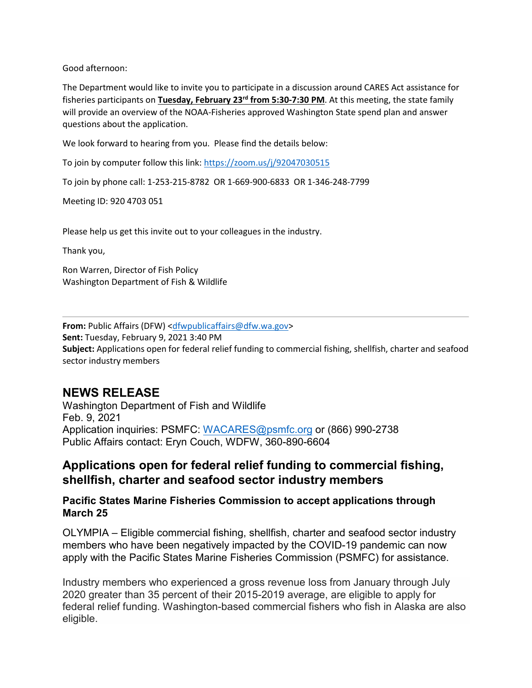Good afternoon:

The Department would like to invite you to participate in a discussion around CARES Act assistance for fisheries participants on **Tuesday, February 23rd from 5:30-7:30 PM**. At this meeting, the state family will provide an overview of the NOAA-Fisheries approved Washington State spend plan and answer questions about the application.

We look forward to hearing from you. Please find the details below:

To join by computer follow this link:<https://zoom.us/j/92047030515>

To join by phone call: 1-253-215-8782 OR 1-669-900-6833 OR 1-346-248-7799

Meeting ID: 920 4703 051

Please help us get this invite out to your colleagues in the industry.

Thank you,

Ron Warren, Director of Fish Policy Washington Department of Fish & Wildlife

**From:** Public Affairs (DFW) [<dfwpublicaffairs@dfw.wa.gov>](mailto:dfwpublicaffairs@dfw.wa.gov) **Sent:** Tuesday, February 9, 2021 3:40 PM **Subject:** Applications open for federal relief funding to commercial fishing, shellfish, charter and seafood sector industry members

## **NEWS RELEASE**

Washington Department of Fish and Wildlife Feb. 9, 2021 Application inquiries: PSMFC: [WACARES@psmfc.org](mailto:WACARES@psmfc.org) or (866) 990-2738 Public Affairs contact: Eryn Couch, WDFW, 360-890-6604

## **Applications open for federal relief funding to commercial fishing, shellfish, charter and seafood sector industry members**

## **Pacific States Marine Fisheries Commission to accept applications through March 25**

OLYMPIA – Eligible commercial fishing, shellfish, charter and seafood sector industry members who have been negatively impacted by the COVID-19 pandemic can now apply with the Pacific States Marine Fisheries Commission (PSMFC) for assistance.

Industry members who experienced a gross revenue loss from January through July 2020 greater than 35 percent of their 2015-2019 average, are eligible to apply for federal relief funding. Washington-based commercial fishers who fish in Alaska are also eligible.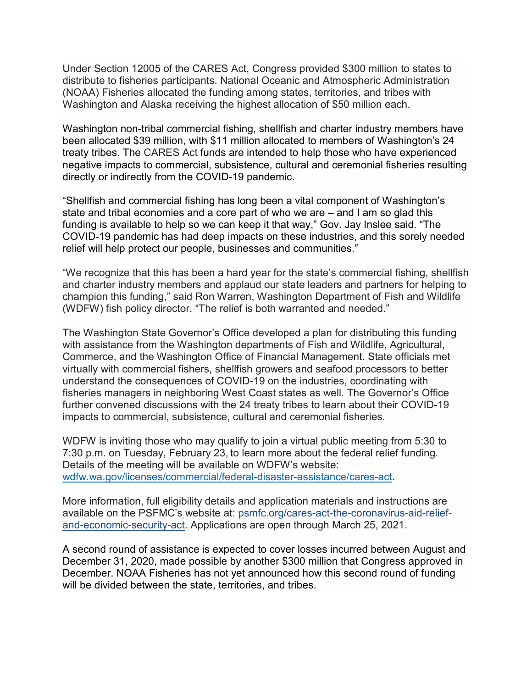Under Section 12005 of the CARES Act, Congress provided \$300 million to states to distribute to fisheries participants. National Oceanic and Atmospheric Administration (NOAA) Fisheries allocated the funding among states, territories, and tribes with Washington and Alaska receiving the highest allocation of \$50 million each.

Washington non-tribal commercial fishing, shellfish and charter industry members have been allocated \$39 million, with \$11 million allocated to members of Washington's 24 treaty tribes. The CARES Act funds are intended to help those who have experienced negative impacts to commercial, subsistence, cultural and ceremonial fisheries resulting directly or indirectly from the COVID-19 pandemic.

"Shellfish and commercial fishing has long been a vital component of Washington's state and tribal economies and a core part of who we are – and I am so glad this funding is available to help so we can keep it that way," Gov. Jay Inslee said. "The COVID-19 pandemic has had deep impacts on these industries, and this sorely needed relief will help protect our people, businesses and communities."

"We recognize that this has been a hard year for the state's commercial fishing, shellfish and charter industry members and applaud our state leaders and partners for helping to champion this funding," said Ron Warren, Washington Department of Fish and Wildlife (WDFW) fish policy director. "The relief is both warranted and needed."

The Washington State Governor's Office developed a plan for distributing this funding with assistance from the Washington departments of Fish and Wildlife, Agricultural, Commerce, and the Washington Office of Financial Management. State officials met virtually with commercial fishers, shellfish growers and seafood processors to better understand the consequences of COVID-19 on the industries, coordinating with fisheries managers in neighboring West Coast states as well. The Governor's Office further convened discussions with the 24 treaty tribes to learn about their COVID-19 impacts to commercial, subsistence, cultural and ceremonial fisheries.

WDFW is inviting those who may qualify to join a virtual public meeting from 5:30 to 7:30 p.m. on Tuesday, February 23, to learn more about the federal relief funding. Details of the meeting will be available on WDFW's website: [wdfw.wa.gov/licenses/commercial/federal-disaster-assistance/cares-act.](https://wdfw.wa.gov/licenses/commercial/federal-disaster-assistance/cares-act)

More information, full eligibility details and application materials and instructions are available on the PSFMC's website at: [psmfc.org/cares-act-the-coronavirus-aid-relief](https://www.psmfc.org/cares-act-the-coronavirus-aid-relief-and-economic-security-act)[and-economic-security-act.](https://www.psmfc.org/cares-act-the-coronavirus-aid-relief-and-economic-security-act) Applications are open through March 25, 2021.

A second round of assistance is expected to cover losses incurred between August and December 31, 2020, made possible by another \$300 million that Congress approved in December. NOAA Fisheries has not yet announced how this second round of funding will be divided between the state, territories, and tribes.